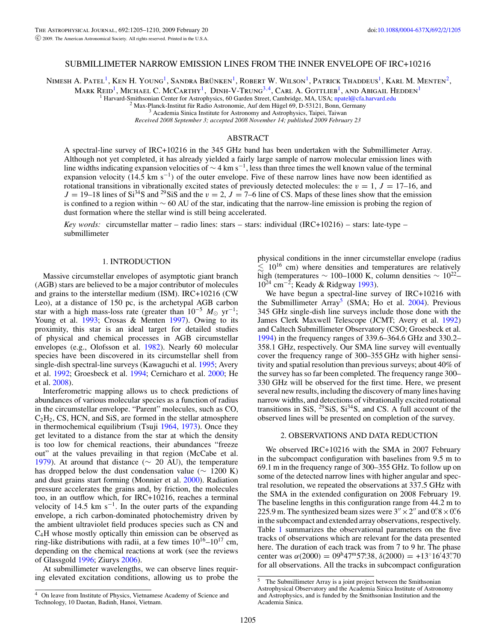## SUBMILLIMETER NARROW EMISSION LINES FROM THE INNER ENVELOPE OF IRC+10216

Nimesh A. Patel<sup>1</sup>, Ken H. Young<sup>1</sup>, Sandra Brünken<sup>1</sup>, Robert W. Wilson<sup>1</sup>, Patrick Thaddeus<sup>1</sup>, Karl M. Menten<sup>2</sup>,

Mark Reid<sup>1</sup>, Michael C. McCarthy<sup>1</sup>, Dinh-V-Trung<sup>3,[4](#page-0-0)</sup>, Carl A. Gottlieb<sup>1</sup>, and Abigail Hedden<sup>1</sup>

Harvard-Smithsonian Center for Astrophysics, 60 Garden Street, Cambridge, MA, USA; [npatel@cfa.harvard.edu](mailto:npatel@cfa.harvard.edu) <sup>2</sup> Max-Planck-Institut für Radio Astronomie, Auf dem Hügel 69, D-53121, Bonn, Germany <sup>3</sup> Academia Sinica Institute

*Received 2008 September 3; accepted 2008 November 14; published 2009 February 23*

# ABSTRACT

A spectral-line survey of IRC+10216 in the 345 GHz band has been undertaken with the Submillimeter Array. Although not yet completed, it has already yielded a fairly large sample of narrow molecular emission lines with line widths indicating expansion velocities of  $\sim$  4 km s<sup>-1</sup>, less than three times the well known value of the terminal expansion velocity (14.5 km s<sup>−1</sup>) of the outer envelope. Five of these narrow lines have now been identified as rotational transitions in vibrationally excited states of previously detected molecules: the  $v = 1$ ,  $J = 17-16$ , and  $J = 19-18$  lines of Si<sup>34</sup>S and <sup>29</sup>SiS and the  $v = 2$ ,  $J = 7-6$  line of CS. Maps of these lines show that the emission is confined to a region within ∼ 60 AU of the star, indicating that the narrow-line emission is probing the region of dust formation where the stellar wind is still being accelerated.

*Key words:* circumstellar matter – radio lines: stars – stars: individual (IRC+10216) – stars: late-type – submillimeter

# 1. INTRODUCTION

Massive circumstellar envelopes of asymptotic giant branch (AGB) stars are believed to be a major contributor of molecules and grains to the interstellar medium (ISM). IRC+10216 (CW Leo), at a distance of 150 pc, is the archetypal AGB carbon star with a high mass-loss rate (greater than  $10^{-5}$   $M_{\odot}$  yr<sup>-1</sup>; Young et al. [1993;](#page-5-0) Crosas & Menten [1997\)](#page-5-1). Owing to its proximity, this star is an ideal target for detailed studies of physical and chemical processes in AGB circumstellar envelopes (e.g., Olofsson et al. [1982\)](#page-5-2). Nearly 60 molecular species have been discovered in its circumstellar shell from single-dish spectral-line surveys (Kawaguchi et al. [1995;](#page-5-3) Avery et al. [1992;](#page-5-4) Groesbeck et al. [1994;](#page-5-5) Cernicharo et al. [2000;](#page-5-6) He et al. [2008\)](#page-5-7).

Interferometric mapping allows us to check predictions of abundances of various molecular species as a function of radius in the circumstellar envelope. "Parent" molecules, such as CO,  $C_2H_2$ , CS, HCN, and SiS, are formed in the stellar atmosphere in thermochemical equilibrium (Tsuji [1964,](#page-5-8) [1973\)](#page-5-9). Once they get levitated to a distance from the star at which the density is too low for chemical reactions, their abundances "freeze out" at the values prevailing in that region (McCabe et al. [1979\)](#page-5-10). At around that distance (∼ 20 AU), the temperature has dropped below the dust condensation value ( $\sim 1200$  K) and dust grains start forming (Monnier et al. [2000\)](#page-5-11). Radiation pressure accelerates the grains and, by friction, the molecules too, in an outflow which, for IRC+10216, reaches a terminal velocity of 14.5 km s<sup> $-1$ </sup>. In the outer parts of the expanding envelope, a rich carbon-dominated photochemistry driven by the ambient ultraviolet field produces species such as CN and C4H whose mostly optically thin emission can be observed as ring-like distributions with radii, at a few times  $10^{16}$ – $10^{17}$  cm, depending on the chemical reactions at work (see the reviews of Glassgold [1996;](#page-5-0) Ziurys [2006\)](#page-5-7).

<span id="page-0-1"></span><span id="page-0-0"></span>At submillimeter wavelengths, we can observe lines requiring elevated excitation conditions, allowing us to probe the

physical conditions in the inner circumstellar envelope (radius  $\lesssim 10^{16}$  cm) where densities and temperatures are relatively high (temperatures <sup>∼</sup> 100–1000 K, column densities <sup>∼</sup> 1022– 1024 cm−2; Keady & Ridgway [1993\)](#page-5-12).

We have begun a spectral-line survey of IRC+10216 with the Submillimeter Array<sup>5</sup> (SMA; Ho et al.  $2004$ ). Previous 345 GHz single-dish line surveys include those done with the James Clerk Maxwell Telescope (JCMT; Avery et al. [1992\)](#page-5-4) and Caltech Submillimeter Observatory (CSO; Groesbeck et al. [1994\)](#page-5-5) in the frequency ranges of 339.6–364.6 GHz and 330.2– 358.1 GHz, respectively. Our SMA line survey will eventually cover the frequency range of 300–355 GHz with higher sensitivity and spatial resolution than previous surveys; about 40% of the survey has so far been completed. The frequency range 300– 330 GHz will be observed for the first time. Here, we present several new results, including the discovery of many lines having narrow widths, and detections of vibrationally excited rotational transitions in SiS,  $2^9$ SiS, Si<sup>34</sup>S, and CS. A full account of the observed lines will be presented on completion of the survey.

## 2. OBSERVATIONS AND DATA REDUCTION

We observed IRC+10216 with the SMA in 2007 February in the subcompact configuration with baselines from 9.5 m to 69.1 m in the frequency range of 300–355 GHz. To follow up on some of the detected narrow lines with higher angular and spectral resolution, we repeated the observations at 337.5 GHz with the SMA in the extended configuration on 2008 February 19. The baseline lengths in this configuration range from 44.2 m to 225.9 m. The synthesized beam sizes were  $3'' \times 2''$  and  $0''8 \times 0''6$ in the subcompact and extended array observations, respectively. Table [1](#page-1-0) summarizes the observational parameters on the five tracks of observations which are relevant for the data presented here. The duration of each track was from 7 to 9 hr. The phase center was  $\alpha(2000) = 0.09^{\text{h}}47^{\text{m}}57^{\text{s}}38$ ,  $\delta(2000) = +13^{\circ}16^{\prime}43^{\prime\prime}70$ for all observations. All the tracks in subcompact configuration

<sup>4</sup> On leave from Institute of Physics, Vietnamese Academy of Science and Technology, 10 Daotan, Badinh, Hanoi, Vietnam.

 $\overline{5}$  The Submillimeter Array is a joint project between the Smithsonian Astrophysical Observatory and the Academia Sinica Institute of Astronomy and Astrophysics, and is funded by the Smithsonian Institution and the Academia Sinica.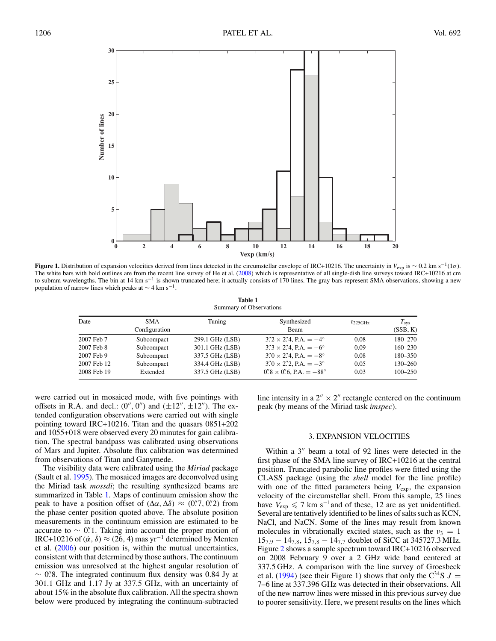

<span id="page-1-1"></span><span id="page-1-0"></span>**Figure 1.** Distribution of expansion velocities derived from lines detected in the circumstellar envelope of IRC+10216. The uncertainty in  $V_{\text{exp}}$  is ~ 0.2 km s<sup>-1</sup>(1 $\sigma$ ). The white bars with bold outlines are from the recent line survey of He et al. [\(2008\)](#page-5-7) which is representative of all single-dish line surveys toward IRC+10216 at cm to submm wavelengths. The bin at 14 km s<sup>-1</sup> is shown truncated here; it actually consists of 170 lines. The gray bars represent SMA observations, showing a new population of narrow lines which peaks at  $\sim$  4 km s<sup>-1</sup>.

| <b>Table 1</b>          |  |  |  |  |  |  |
|-------------------------|--|--|--|--|--|--|
| Summary of Observations |  |  |  |  |  |  |

| Date        | <b>SMA</b>    | Tuning          | Synthesized                                           | $\tau$ 225GHz | $T_{\rm sys}$ |
|-------------|---------------|-----------------|-------------------------------------------------------|---------------|---------------|
|             | Configuration |                 | Beam                                                  |               | (SSB, K)      |
| 2007 Feb 7  | Subcompact    | 299.1 GHz (LSB) | $3''2 \times 2''4$ , P.A. $=-4^{\circ}$               | 0.08          | $180 - 270$   |
| 2007 Feb 8  | Subcompact    | 301.1 GHz (LSB) | $3''3 \times 2''4$ , P.A. = $-6^{\circ}$              | 0.09          | $160 - 230$   |
| 2007 Feb 9  | Subcompact    | 337.5 GHz (LSB) | $3\rlap.{''}0 \times 2\rlap.{''}4$ , P.A. $=-8^\circ$ | 0.08          | $180 - 350$   |
| 2007 Feb 12 | Subcompact    | 334.4 GHz (LSB) | $3\rlap.{''}0 \times 2\rlap.{''}2$ , P.A. $=-3^\circ$ | 0.05          | $130 - 260$   |
| 2008 Feb 19 | Extended      | 337.5 GHz (LSB) | $0''8 \times 0''6$ , P.A. $= -88^\circ$               | 0.03          | $100 - 250$   |

were carried out in mosaiced mode, with five pointings with offsets in R.A. and decl.:  $(0'', 0'')$  and  $(\pm 12'', \pm 12'')$ . The extended configuration observations were carried out with single pointing toward IRC+10216. Titan and the quasars 0851+202 and 1055+018 were observed every 20 minutes for gain calibration. The spectral bandpass was calibrated using observations of Mars and Jupiter. Absolute flux calibration was determined from observations of Titan and Ganymede.

The visibility data were calibrated using the *Miriad* package (Sault et al. [1995\)](#page-5-14). The mosaiced images are deconvolved using the Miriad task *mossdi*; the resulting synthesized beams are summarized in Table [1.](#page-1-0) Maps of continuum emission show the peak to have a position offset of  $(\Delta \alpha, \Delta \delta) \approx (0\degree/7, 0\degree/2)$  from the phase center position quoted above. The absolute position measurements in the continuum emission are estimated to be accurate to  $\sim$  0. Taking into account the proper motion of IRC+10216 of  $(\dot{\alpha}, \dot{\delta}) \approx (26, 4)$  mas yr<sup>-1</sup> determined by Menten et al. [\(2006\)](#page-5-15) our position is, within the mutual uncertainties, consistent with that determined by those authors. The continuum emission was unresolved at the highest angular resolution of  $\sim$  0. The integrated continuum flux density was 0.84 Jy at 2.84 Jy at 2.85  $\sim$  0.88  $\frac{25}{3}$   $\sim$  0.88  $\frac{25}{3}$   $\sim$  0.88  $\frac{25}{3}$   $\sim$  0.89  $\frac{25}{3}$   $\sim$  0.89  $\frac{25}{3}$   $\sim$  0.89  $\frac{25}{3}$   $\sim$  0.89  $\frac{25}{3$ 301.1 GHz and 1.17 Jy at 337.5 GHz, with an uncertainty of about 15% in the absolute flux calibration. All the spectra shown below were produced by integrating the continuum-subtracted line intensity in a  $2'' \times 2''$  rectangle centered on the continuum peak (by means of the Miriad task *imspec*).

# 3. EXPANSION VELOCITIES

Within a  $3''$  beam a total of 92 lines were detected in the first phase of the SMA line survey of IRC+10216 at the central position. Truncated parabolic line profiles were fitted using the CLASS package (using the *shell* model for the line profile) with one of the fitted parameters being  $V_{\text{exp}}$ , the expansion velocity of the circumstellar shell. From this sample, 25 lines have  $V_{\text{exp}} \leq 7$  km s<sup>-1</sup>and of these, 12 are as yet unidentified. Several are tentatively identified to be lines of salts such as KCN, NaCl, and NaCN. Some of the lines may result from known molecules in vibrationally excited states, such as the  $v_3 = 1$  $15_{7,9} - 14_{7,8}$ ,  $15_{7,8} - 14_{7,7}$  doublet of SiCC at 345727.3 MHz. Figure [2](#page-2-0) shows a sample spectrum toward IRC+10216 observed on 2008 February 9 over a 2 GHz wide band centered at 337.5 GHz. A comparison with the line survey of Groesbeck et al. [\(1994\)](#page-5-5) (see their Figure 1) shows that only the  $C^{34}S$  J = 7–6 line at 337.396 GHz was detected in their observations. All of the new narrow lines were missed in this previous survey due to poorer sensitivity. Here, we present results on the lines which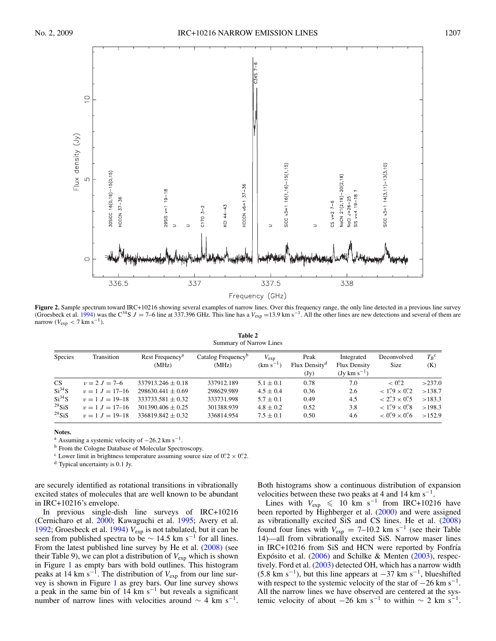

<span id="page-2-1"></span><span id="page-2-0"></span>Figure 2. Sample spectrum toward IRC+10216 showing several examples of narrow lines. Over this frequency range, the only line detected in a previous line survey (Groesbeck et al. [1994\)](#page-5-5) was the C<sup>34</sup>S J = 7–6 line at 337.396 GHz. This line has a  $V_{exp}$  =13.9 km s<sup>-1</sup>. All the other lines are new detections and several of them are narrow ( $V_{\text{exp}}$  < 7 km s<sup>-1</sup>).

| Table 2                 |  |  |  |  |  |  |
|-------------------------|--|--|--|--|--|--|
| Summary of Narrow Lines |  |  |  |  |  |  |

| Species     | Transition          | Rest Frequency <sup>a</sup><br>(MHz) | Catalog Frequency <sup>b</sup><br>(MHz) | $V_{\rm exp}$<br>$(km s-)$ | Peak<br>Flux Density <sup>d</sup><br>(Jy) | Integrated<br><b>Flux Density</b><br>$(Jv \, km \, s^{-1})$ | Deconvolved<br><b>Size</b>           | $T_R$ <sup>c</sup><br>(K) |
|-------------|---------------------|--------------------------------------|-----------------------------------------|----------------------------|-------------------------------------------|-------------------------------------------------------------|--------------------------------------|---------------------------|
| CS.         | $v = 2 J = 7-6$     | $337913.246 \pm 0.18$                | 337912.189                              | $5.1 \pm 0.1$              | 0.78                                      | 7.0                                                         | $< 0\rlap{.}^{\prime\prime}2$        | >237.0                    |
| $Si^{34}S$  | $v = 1$ $J = 17-16$ | $298630.441 + 0.69$                  | 298629.989                              | $4.5 \pm 0.4$              | 0.36                                      | 2.6                                                         | $< 1\rlap.{''}9 \times 0\rlap.{''}2$ | >138.7                    |
| $Si^{34}S$  | $v = 1$ $J = 19-18$ | $333733.581 \pm 0.32$                | 333731.998                              | $5.7 \pm 0.1$              | 0.49                                      | 4.5                                                         | $< 2\frac{7}{3} \times 0\frac{7}{5}$ | >183.3                    |
| $^{29}$ SiS | $v = 1 J = 17-16$   | $301390.406 + 0.25$                  | 301388.939                              | $4.8 \pm 0.2$              | 0.52                                      | 3.8                                                         | $< 1\rlap.{''}9 \times 0\rlap.{''}8$ | >198.3                    |
| $^{29}$ SiS | $v = 1$ $J = 19-18$ | $336819.842 + 0.32$                  | 336814.954                              | $7.5 \pm 0.1$              | 0.50                                      | 4.6                                                         | $< 0''$ 9 $\times$ 0'' 6             | >152.9                    |

#### **Notes.**

<sup>a</sup> Assuming a systemic velocity of  $-26.2$  km s<sup>-1</sup>. b From the Cologne Database of Molecular Spectroscopy.

<sup>c</sup> Lower limit in brightness temperature assuming source size of  $0\rlap{.}^{\prime\prime}2 \times 0\rlap{.}^{\prime\prime}2$ .

<sup>d</sup> Typical uncertainty is 0.1 Jy.

are securely identified as rotational transitions in vibrationally excited states of molecules that are well known to be abundant in IRC+10216's envelope.

In previous single-dish line surveys of IRC+10216 (Cernicharo et al. [2000;](#page-5-6) Kawaguchi et al. [1995;](#page-5-3) Avery et al. [1992;](#page-5-4) Groesbeck et al.  $1994$ )  $V_{exp}$  is not tabulated, but it can be seen from published spectra to be  $\sim 14.5$  km s<sup>-1</sup> for all lines. From the latest published line survey by He et al. [\(2008\)](#page-5-7) (see their Table 9), we can plot a distribution of  $V_{\text{exp}}$  which is shown in Figure [1](#page-1-1) as empty bars with bold outlines. This histogram peaks at 14 km s−1. The distribution of *V*exp from our line survey is shown in Figure [1](#page-1-1) as grey bars. Our line survey shows a peak in the same bin of 14 km s−<sup>1</sup> but reveals a significant number of narrow lines with velocities around  $\sim 4$  km s<sup>-1</sup>. Both histograms show a continuous distribution of expansion velocities between these two peaks at 4 and 14 km s<sup> $-1$ .</sup>

Lines with  $V_{\text{exp}} \le 10 \text{ km s}^{-1}$  from IRC+10216 have been reported by Highberger et al. [\(2000\)](#page-5-16) and were assigned as vibrationally excited SiS and CS lines. He et al. [\(2008\)](#page-5-7) found four lines with  $V_{\text{exp}} = 7{\text -}10.2 \text{ km s}^{-1}$  (see their Table 14)—all from vibrationally excited SiS. Narrow maser lines in IRC+10216 from SiS and HCN were reported by Fonfría Expósito et al.  $(2006)$  $(2006)$  and Schilke & Menten  $(2003)$ , respectively. Ford et al. [\(2003\)](#page-5-9) detected OH, which has a narrow width  $(5.8 \text{ km s}^{-1})$ , but this line appears at  $-37 \text{ km s}^{-1}$ , blueshifted with respect to the systemic velocity of the star of  $-26 \text{ km s}^{-1}$ . All the narrow lines we have observed are centered at the systemic velocity of about  $-26$  km s<sup>-1</sup> to within  $\sim 2$  km s<sup>-1</sup>.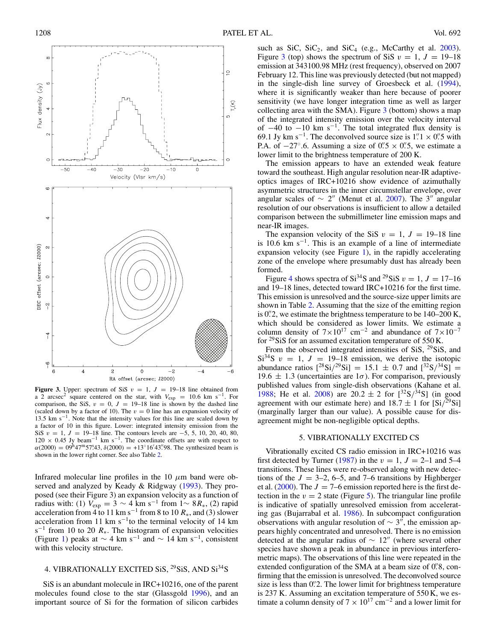

<span id="page-3-0"></span>**Figure 3.** Upper: spectrum of SiS  $v = 1$ ,  $J = 19-18$  line obtained from a 2 arcsec<sup>2</sup> square centered on the star, with  $V_{\text{exp}} = 10.6 \text{ km s}^{-1}$ . For comparison, the SiS,  $v = 0$ ,  $J = 19-18$  line is shown by the dashed line (scaled down by a factor of 10). The  $v = 0$  line has an expansion velocity of 13.5 km s<sup> $-1$ </sup>. Note that the intensity values for this line are scaled down by a factor of 10 in this figure. Lower: integrated intensity emission from the SiS  $v = 1$ ,  $J = 19-18$  line. The contours levels are -5, 5, 10, 20, 40, 80,  $120 \times 0.45$  Jy beam<sup>-1</sup> km s<sup>-1</sup>. The coordinate offsets are with respect to  $\alpha(2000) = 09^{\text{h}}47^{\text{m}}57\frac{543}{3}, \delta(2000) = +13^{\circ}16'43''98$ . The synthesized beam is shown in the lower right corner. See also Table [2.](#page-2-1)

Infrared molecular line profiles in the 10  $\mu$ m band were observed and analyzed by Keady & Ridgway [\(1993\)](#page-5-12). They proposed (see their Figure 3) an expansion velocity as a function of radius with: (1)  $V_{\text{exp}} = 3 \sim 4 \text{ km s}^{-1}$  from 1∼ 8 $R_*,$  (2) rapid acceleration from 4 to 11 km s<sup>-1</sup> from 8 to 10  $R_*$ , and (3) slower acceleration from 11 km s<sup> $-1$ </sup>to the terminal velocity of 14 km  $s^{-1}$  from 10 to 20  $R_{*}$ . The histogram of expansion velocities (Figure [1\)](#page-1-1) peaks at  $\sim$  4 km s<sup>-1</sup> and  $\sim$  14 km s<sup>-1</sup>, consistent with this velocity structure.

# 4. VIBRATIONALLY EXCITED SiS, <sup>29</sup>SiS, AND Si<sup>34</sup>S

SiS is an abundant molecule in IRC+10216, one of the parent molecules found close to the star (Glassgold [1996\)](#page-5-0), and an important source of Si for the formation of silicon carbides

such as SiC,  $SiC_2$ , and  $SiC_4$  (e.g., McCarthy et al. [2003\)](#page-5-18). Figure [3](#page-3-0) (top) shows the spectrum of SiS  $v = 1$ ,  $J = 19-18$ emission at 343100.98 MHz (rest frequency), observed on 2007 February 12. This line was previously detected (but not mapped) in the single-dish line survey of Groesbeck et al. [\(1994\)](#page-5-5), where it is significantly weaker than here because of poorer sensitivity (we have longer integration time as well as larger collecting area with the SMA). Figure  $3$  (bottom) shows a map of the integrated intensity emission over the velocity interval of  $-40$  to  $-10$  km s<sup>-1</sup>. The total integrated flux density is 69.1 Jy km s<sup>-1</sup>. The deconvolved source size is 1".1 × 0".5 with P.A. of  $-27^\circ$ .6. Assuming a size of  $0.5 \times 0.5$ , we estimate a lower limit to the brightness temperature of 200 K.

The emission appears to have an extended weak feature toward the southeast. High angular resolution near-IR adaptiveoptics images of IRC+10216 show evidence of azimuthally asymmetric structures in the inner circumstellar envelope, over angular scales of  $\sim 2''$  (Menut et al. [2007\)](#page-5-19). The 3" angular resolution of our observations is insufficient to allow a detailed comparison between the submillimeter line emission maps and near-IR images.

The expansion velocity of the SiS  $v = 1$ ,  $J = 19-18$  line is 10.6 km s<sup> $-1$ </sup>. This is an example of a line of intermediate expansion velocity (see Figure [1\)](#page-1-1), in the rapidly accelerating zone of the envelope where presumably dust has already been formed.

Figure [4](#page-4-0) shows spectra of  $Si^{34}S$  and <sup>29</sup>SiS  $v = 1, J = 17-16$ and 19–18 lines, detected toward IRC+10216 for the first time. This emission is unresolved and the source-size upper limits are shown in Table [2.](#page-2-1) Assuming that the size of the emitting region is  $0\rlap{.}{\prime\prime}$  2, we estimate the brightness temperature to be  $140-200$  K, which should be considered as lower limits. We estimate a column density of  $7\times10^{17}$  cm<sup>-2</sup> and abundance of  $7\times10^{-7}$ for  $^{29}$ SiS for an assumed excitation temperature of 550 K.

From the observed integrated intensities of SiS,  $^{29}$ SiS, and  $Si^{34}S$   $v = 1$ ,  $J = 19-18$  emission, we derive the isotopic abundance ratios  $[^{28}\text{Si}/^{29}\text{Si}] = 15.1 \pm 0.7$  and  $[^{32}\text{S}/^{34}\text{Si}] =$ 19.6  $\pm$  1.3 (uncertainties are 1 $\sigma$ ). For comparison, previously published values from single-dish observations (Kahane et al. [1988;](#page-5-20) He et al. [2008\)](#page-5-7) are  $20.2 \pm 2$  for  $[^{32}S/^{34}S]$  (in good agreement with our estimate here) and  $18.7 \pm 1$  for  $\left[\text{Si}/^{29}\text{Si}\right]$ (marginally larger than our value). A possible cause for disagreement might be non-negligible optical depths.

#### 5. VIBRATIONALLY EXCITED CS

Vibrationally excited CS radio emission in IRC+10216 was first detected by Turner [\(1987\)](#page-5-21) in the  $v = 1$ ,  $J = 2-1$  and 5-4 transitions. These lines were re-observed along with new detections of the  $J = 3-2$ , 6-5, and 7-6 transitions by Highberger et al.  $(2000)$ . The  $J = 7$ –6 emission reported here is the first detection in the  $v = 2$  state (Figure [5\)](#page-5-22). The triangular line profile is indicative of spatially unresolved emission from accelerating gas (Bujarrabal et al. [1986\)](#page-5-23). In subcompact configuration observations with angular resolution of  $\sim$  3", the emission appears highly concentrated and unresolved. There is no emission detected at the angular radius of  $\sim 12^{\prime\prime}$  (where several other species have shown a peak in abundance in previous interferometric maps). The observations of this line were repeated in the extended configuration of the SMA at a beam size of 0. 8, confirming that the emission is unresolved. The deconvolved source size is less than 0. The lower limit for brightness temperature is 237 K. Assuming an excitation temperature of 550 K, we estimate a column density of  $7 \times 10^{17}$  cm<sup>-2</sup> and a lower limit for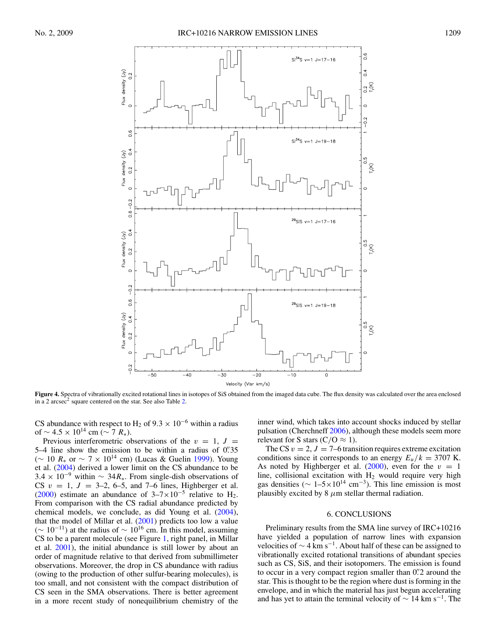

<span id="page-4-0"></span>**Figure 4.** Spectra of vibrationally excited rotational lines in isotopes of SiS obtained from the imaged data cube. The flux density was calculated over the area enclosed in a 2 arcsec<sup>2</sup> square centered on the star. See also Table [2.](#page-2-1)

CS abundance with respect to H<sub>2</sub> of  $9.3 \times 10^{-6}$  within a radius of  $\sim 4.5 \times 10^{14}$  cm ( $\sim 7 R_*$ ).

Previous interferometric observations of the  $v = 1$ ,  $J =$ 5–4 line show the emission to be within a radius of  $0\rlap{.}^{\prime\prime}35$ (∼ 10  $R_*$  or  $\sim$  7  $\times$  10<sup>14</sup> cm) (Lucas & Guelin [1999\)](#page-5-24). Young et al. [\(2004\)](#page-5-5) derived a lower limit on the CS abundance to be  $3.4 \times 10^{-9}$  within ~ 34 $R_*$ . From single-dish observations of CS  $v = 1$ ,  $J = 3-2$ , 6-5, and 7-6 lines, Highberger et al. [\(2000\)](#page-5-16) estimate an abundance of  $3-7\times10^{-5}$  relative to H<sub>2</sub>. From comparison with the CS radial abundance predicted by chemical models, we conclude, as did Young et al. [\(2004\)](#page-5-5), that the model of Millar et al.  $(2001)$  predicts too low a value  $({\sim 10^{-11}})$  at the radius of  ${\sim 10^{16}}$  cm. In this model, assuming CS to be a parent molecule (see Figure [1,](#page-1-1) right panel, in Millar et al. [2001\)](#page-5-25), the initial abundance is still lower by about an order of magnitude relative to that derived from submillimeter observations. Moreover, the drop in CS abundance with radius (owing to the production of other sulfur-bearing molecules), is too small, and not consistent with the compact distribution of CS seen in the SMA observations. There is better agreement in a more recent study of nonequilibrium chemistry of the

inner wind, which takes into account shocks induced by stellar pulsation (Cherchneff [2006\)](#page-5-26), although these models seem more relevant for S stars ( $C/O \approx 1$ ).

The CS  $v = 2$ ,  $J = 7-6$  transition requires extreme excitation conditions since it corresponds to an energy  $E_u/k = 3707$  K. As noted by Highberger et al. [\(2000\)](#page-5-16), even for the  $v = 1$ line, collisional excitation with  $H_2$  would require very high gas densities ( $\sim 1-5\times10^{14}$  cm<sup>-3</sup>). This line emission is most plausibly excited by  $8 \mu m$  stellar thermal radiation.

#### 6. CONCLUSIONS

Preliminary results from the SMA line survey of IRC+10216 have yielded a population of narrow lines with expansion velocities of  $\sim$  4 km s<sup>-1</sup>. About half of these can be assigned to vibrationally excited rotational transitions of abundant species such as CS, SiS, and their isotopomers. The emission is found to occur in a very compact region smaller than 0".2 around the star. This is thought to be the region where dust is forming in the envelope, and in which the material has just begun accelerating and has yet to attain the terminal velocity of  $\sim 14$  km s<sup>-1</sup>. The